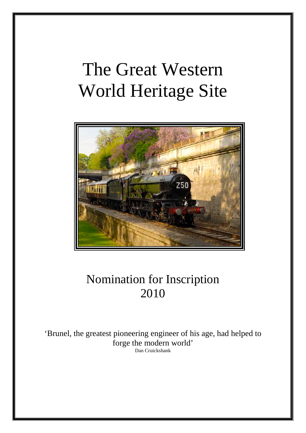# The Great Western World Heritage Site



## Nomination for Inscription 2010

'Brunel, the greatest pioneering engineer of his age, had helped to forge the modern world' Dan Cruickshank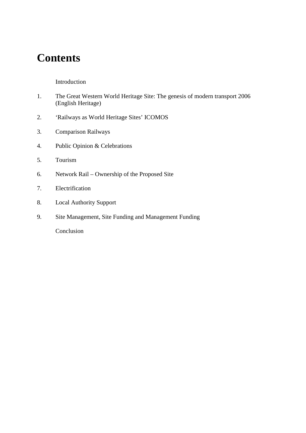### **Contents**

#### Introduction

- 1. The Great Western World Heritage Site: The genesis of modern transport 2006 (English Heritage)
- 2. 'Railways as World Heritage Sites' ICOMOS
- 3. Comparison Railways
- 4. Public Opinion & Celebrations
- 5. Tourism
- 6. Network Rail Ownership of the Proposed Site
- 7. Electrification
- 8. Local Authority Support
- 9. Site Management, Site Funding and Management Funding

Conclusion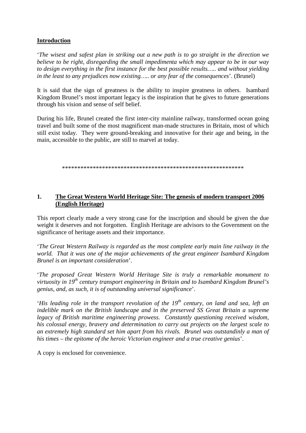#### **Introduction**

'*The wisest and safest plan in striking out a new path is to go straight in the direction we believe to be right, disregarding the small impedimenta which may appear to be in our way to design everything in the first instance for the best possible results….. and without yielding in the least to any prejudices now existing….. or any fear of the consequences*'. (Brunel)

It is said that the sign of greatness is the ability to inspire greatness in others. Isambard Kingdom Brunel's most important legacy is the inspiration that he gives to future generations through his vision and sense of self belief.

During his life, Brunel created the first inter-city mainline railway, transformed ocean going travel and built some of the most magnificent man-made structures in Britain, most of which still exist today. They were ground-breaking and innovative for their age and being, in the main, accessible to the public, are still to marvel at today.

\*\*\*\*\*\*\*\*\*\*\*\*\*\*\*\*\*\*\*\*\*\*\*\*\*\*\*\*\*\*\*\*\*\*\*\*\*\*\*\*\*\*\*\*\*\*\*\*\*\*\*\*\*\*\*\*\*\*\*

#### **1. The Great Western World Heritage Site: The genesis of modern transport 2006 (English Heritage)**

This report clearly made a very strong case for the inscription and should be given the due weight it deserves and not forgotten. English Heritage are advisors to the Government on the significance of heritage assets and their importance.

'*The Great Western Railway is regarded as the most complete early main line railway in the world. That it was one of the major achievements of the great engineer Isambard Kingdom Brunel is an important consideration*'.

'*The proposed Great Western World Heritage Site is truly a remarkable monument to virtuosity in 19th century transport engineering in Britain and to Isambard Kingdom Brunel's genius, and, as such, it is of outstanding universal significance*'.

'*His leading role in the transport revolution of the 19th century, on land and sea, left an indelible mark on the British landscape and in the preserved SS Great Britain a supreme legacy of British maritime engineering prowess. Constantly questioning received wisdom, his colossal energy, bravery and determination to carry out projects on the largest scale to an extremely high standard set him apart from his rivals. Brunel was outstandinly a man of his times – the epitome of the heroic Victorian engineer and a true creative genius*'.

A copy is enclosed for convenience.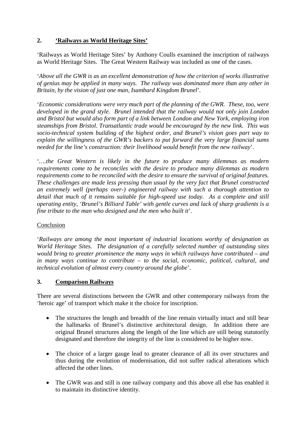#### **2. 'Railways as World Heritage Sites'**

'Railways as World Heritage Sites' by Anthony Coulls examined the inscription of railways as World Heritage Sites. The Great Western Railway was included as one of the cases.

'*Above all the GWR is as an excellent demonstration of how the criterion of works illustrative of genius may be applied in many ways. The railway was dominated more than any other in Britain, by the vision of just one man, Isambard Kingdom Brunel*'.

'*Economic considerations were very much part of the planning of the GWR. These, too, were developed in the grand style. Brunel intended that the railway would not only join London and Bristol but would also form part of a link between London and New York, employing iron steamships from Bristol. Transatlantic trade would be encouraged by the new link. This was socio-technical system building of the highest order, and Brunel's vision goes part way to explain the willingness of the GWR's backers to put forward the very large financial sums needed for the line's construction: their livelihood would benefit from the new railway*'.

'*….the Great Western is likely in the future to produce many dilemmas as modern requirements come to be reconciles with the desire to produce many dilemmas as modern requirements come to be reconciled with the desire to ensure the survival of original features. These challenges are made less pressing than usual by the very fact that Brunel constructed an extremely well (perhaps over-) engineered railway with such a thorough attention to detail that much of it remains suitable for high-speed use today. As a complete and still operating entity, 'Brunel's Billiard Table' with gentle curves and lack of sharp gradients is a fine tribute to the man who designed and the men who built it*'.

#### Conclusion

'*Railways are among the most important of industrial locations worthy of designation as World Heritage Sites. The designation of a carefully selected number of outstanding sites would bring to greater prominence the many ways in which railways have contributed – and in many ways continue to contribute – to the social, economic, political, cultural, and technical evolution of almost every country around the globe*'.

#### **3. Comparison Railways**

There are several distinctions between the GWR and other contemporary railways from the 'heroic age' of transport which make it the choice for inscription.

- The structures the length and breadth of the line remain virtually intact and still bear the hallmarks of Brunel's distinctive architectural design. In addition there are original Brunel structures along the length of the line which are still being statutorily designated and therefore the integrity of the line is considered to be higher now.
- The choice of a larger gauge lead to greater clearance of all its over structures and thus during the evolution of modernisation, did not suffer radical alterations which affected the other lines.
- The GWR was and still is one railway company and this above all else has enabled it to maintain its distinctive identity.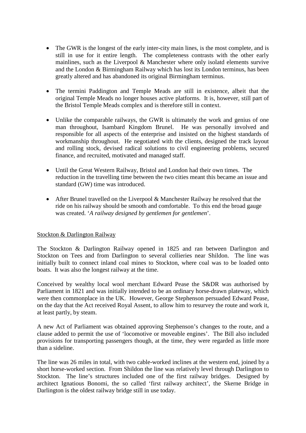- The GWR is the longest of the early inter-city main lines, is the most complete, and is still in use for it entire length. The completeness contrasts with the other early mainlines, such as the Liverpool & Manchester where only isolatd elements survive and the London & Birmingham Railway which has lost its London terminus, has been greatly altered and has abandoned its original Birmingham terminus.
- The termini Paddington and Temple Meads are still in existence, albeit that the original Temple Meads no longer houses active platforms. It is, however, still part of the Bristol Temple Meads complex and is therefore still in context.
- Unlike the comparable railways, the GWR is ultimately the work and genius of one man throughout, Isambard Kingdom Brunel. He was personally involved and responsible for all aspects of the enterprise and insisted on the highest standards of workmanship throughout. He negotiated with the clients, designed the track layout and rolling stock, devised radical solutions to civil engineering problems, secured finance, and recruited, motivated and managed staff.
- Until the Great Western Railway, Bristol and London had their own times. The reduction in the travelling time between the two cities meant this became an issue and standard (GW) time was introduced.
- After Brunel travelled on the Liverpool & Manchester Railway he resolved that the ride on his railway should be smooth and comfortable. To this end the broad gauge was created. '*A railway designed by gentlemen for gentlemen*'.

#### Stockton & Darlington Railway

The Stockton & Darlington Railway opened in 1825 and ran between Darlington and Stockton on Tees and from Darlington to several collieries near Shildon. The line was initially built to connect inland coal mines to Stockton, where coal was to be loaded onto boats. It was also the longest railway at the time.

Conceived by wealthy local wool merchant Edward Pease the S&DR was authorised by Parliament in 1821 and was initially intended to be an ordinary horse-drawn plateway, which were then commonplace in the UK. However, George Stephenson persuaded Edward Pease, on the day that the Act received Royal Assent, to allow him to resurvey the route and work it, at least partly, by steam.

A new Act of Parliament was obtained approving Stephenson's changes to the route, and a clause added to permit the use of 'locomotive or moveable engines'. The Bill also included provisions for transporting passengers though, at the time, they were regarded as little more than a sideline.

The line was 26 miles in total, with two cable-worked inclines at the western end, joined by a short horse-worked section. From Shildon the line was relatively level through Darlington to Stockton. The line's structures included one of the first railway bridges. Designed by architect Ignatious Bonomi, the so called 'first railway architect', the Skerne Bridge in Darlington is the oldest railway bridge still in use today.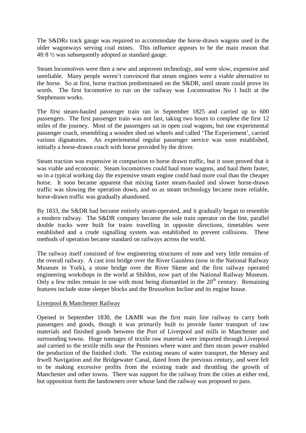The S&DRs track gauge was required to accommodate the horse-drawn wagons used in the older wagonways serving coal mines. This influence appears to be the main reason that 4ft 8 ½ was subsequently adopted as standard gauge.

Steam locomotives were then a new and unproven technology, and were slow, expensive and unreliable. Many people weren't convinced that steam engines were a viable alternative to the horse. So at first, horse traction predominated on the S&DR, until steam could prove its worth. The first locomotive to run on the railway was Locomoation No 1 built at the Stephenson works.

The first steam-hauled passenger train ran in September 1825 and carried up to 600 passengers. The first passenger train was not fast, taking two hours to complete the first 12 miles of the journey. Most of the passengers sat in open coal wagons, but one experimental passenger coach, resembling a wooden shed on wheels and called 'The Experiement', carried various dignatories. An experiemental regular passenger service was soon established, initially a horse-drawn coach with horse provided by the driver.

Steam traction was expensive in comparison to horse drawn traffic, but it soon proved that it was viable and economic. Steam locomotives could haul more wagons, and haul them faster, so in a typical working day the expensive steam engine could haul more coal than the cheaper horse. It soon became apparent that mixing faster steam-hauled and slower horse-drawn traffic was slowing the operation down, and so as steam technology became more reliable, horse-drawn traffic was gradually abandoned.

By 1833, the S&DR had become entirely steam-operated, and it gradually began to resemble a modern railway. The S&DR company became the sole train operator on the line, parallel double tracks were built for trains travelling in opposite directions, timetables were established and a crude signalling system was established to prevent collisions. These methods of operation became standard on railways across the world.

The railway itself consisted of few engineering structures of note and very little remains of the overall railway. A cast iron bridge over the River Gaunless (now in the National Railway Museum in York), a stone bridge over the River Skene and the first railway operated engineering workshops in the world at Shildon, now part of the National Railway Museum. Only a few miles remain in use with most being dismantled in the  $20<sup>th</sup>$  century. Remaining features include stone sleeper blocks and the Brusselton Incline and its engine house.

#### Liverpool & Manchester Railway

Opened in September 1830, the L&MR was the first main line railway to carry both passengers and goods, though it was primarily built to provide faster transport of raw materials and finished goods between the Port of Liverpool and mills in Manchester and surrounding towns. Huge tonnages of textile raw material were imported through Liverpool and carried to the textile mills near the Pennines where water and then steam power enabled the production of the finished cloth. The existing means of water transport, the Mersey and Irwell Navigation and the Bridgewater Canal, dated from the previous century, and were felt to be making excessive profits from the existing trade and throttling the growth of Manchester and other towns. There was support for the railway from the cities at either end, but opposition form the landowners over whose land the railway was proposed to pass.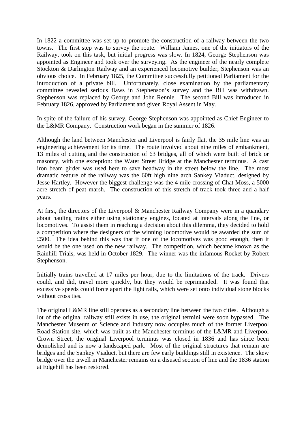In 1822 a committee was set up to promote the construction of a railway between the two towns. The first step was to survey the route. William James, one of the initiators of the Railway, took on this task, but initial progress was slow. In 1824, George Stephenson was appointed as Engineer and took over the surveying. As the engineer of the nearly complete Stockton & Darlington Railway and an experienced locomotive builder, Stephenson was an obvious choice. In February 1825, the Committee successfully petitioned Parliament for the introduction of a private bill. Unfortunately, close examination by the parliamentary committee revealed serious flaws in Stephenson's survey and the Bill was withdrawn. Stephenson was replaced by George and John Rennie. The second Bill was introduced in February 1826, approved by Parliament and given Royal Assent in May.

In spite of the failure of his survey, George Stephenson was appointed as Chief Engineer to the L&MR Company. Construction work began in the summer of 1826.

Although the land between Manchester and Liverpool is fairly flat, the 35 mile line was an engineering achievement for its time. The route involved about nine miles of embankment, 13 miles of cutting and the construction of 63 bridges, all of which were built of brick or masonry, with one exception: the Water Street Bridge at the Manchester terminus. A cast iron beam girder was used here to save headway in the street below the line. The most dramatic feature of the railway was the 60ft high nine arch Sankey Viaduct, designed by Jesse Hartley. However the biggest challenge was the 4 mile crossing of Chat Moss, a 5000 acre stretch of peat marsh. The construction of this stretch of track took three and a half years.

At first, the directors of the Liverpool & Manchester Railway Company were in a quandary about hauling trains either using stationary engines, located at intervals along the line, or locomotives. To assist them in reaching a decision about this dilemma, they decided to hold a competition where the designers of the winning locomotive would be awarded the sum of £500. The idea behind this was that if one of the locomotives was good enough, then it would be the one used on the new railway. The competition, which became known as the Rainhill Trials, was held in October 1829. The winner was the infamous Rocket by Robert Stephenson.

Initially trains travelled at 17 miles per hour, due to the limitations of the track. Drivers could, and did, travel more quickly, but they would be reprimanded. It was found that excessive speeds could force apart the light rails, which were set onto individual stone blocks without cross ties.

The original L&MR line still operates as a secondary line between the two cities. Although a lot of the original railway still exists in use, the original termini were soon bypassed. The Manchester Museum of Science and Industry now occupies much of the former Liverpool Road Station site, which was built as the Manchester terminus of the L&MR and Liverpool Crown Street, the original Liverpool terminus was closed in 1836 and has since been demolished and is now a landscaped park. Most of the original structures that remain are bridges and the Sankey Viaduct, but there are few early buildings still in existence. The skew bridge over the Irwell in Manchester remains on a disused section of line and the 1836 station at Edgehill has been restored.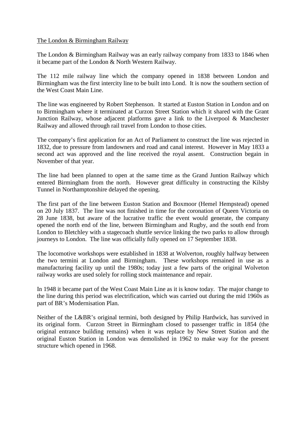#### The London & Birmingham Railway

The London & Birmingham Railway was an early railway company from 1833 to 1846 when it became part of the London & North Western Railway.

The 112 mile railway line which the company opened in 1838 between London and Birmingham was the first intercity line to be built into Lond. It is now the southern section of the West Coast Main Line.

The line was engineered by Robert Stephenson. It started at Euston Station in London and on to Birmingham where it terminated at Curzon Street Station which it shared with the Grant Junction Railway, whose adjacent platforms gave a link to the Liverpool & Manchester Railway and allowed through rail travel from London to those cities.

The company's first application for an Act of Parliament to construct the line was rejected in 1832, due to pressure from landowners and road and canal interest. However in May 1833 a second act was approved and the line received the royal assent. Construction begain in November of that year.

The line had been planned to open at the same time as the Grand Juntion Railway which entered Birmingham from the north. However great difficulty in constructing the Kilsby Tunnel in Northamptonshire delayed the opening.

The first part of the line between Euston Station and Boxmoor (Hemel Hempstead) opened on 20 July 1837. The line was not finished in time for the coronation of Queen Victoria on 28 June 1838, but aware of the lucrative traffic the event would generate, the company opened the north end of the line, between Birmingham and Rugby, and the south end from London to Bletchley with a stagecoach shuttle service linking the two parks to allow through journeys to London. The line was officially fully opened on 17 September 1838.

The locomotive workshops were established in 1838 at Wolverton, roughly halfway between the two termini at London and Birmingham. These workshops remained in use as a manufacturing facility up until the 1980s; today just a few parts of the original Wolveton railway works are used solely for rolling stock maintenance and repair.

In 1948 it became part of the West Coast Main Line as it is know today. The major change to the line during this period was electrification, which was carried out during the mid 1960s as part of BR's Modernisation Plan.

Neither of the L&BR's original termini, both designed by Philip Hardwick, has survived in its original form. Curzon Street in Birmingham closed to passenger traffic in 1854 (the original entrance building remains) when it was replace by New Street Station and the original Euston Station in London was demolished in 1962 to make way for the present structure which opened in 1968.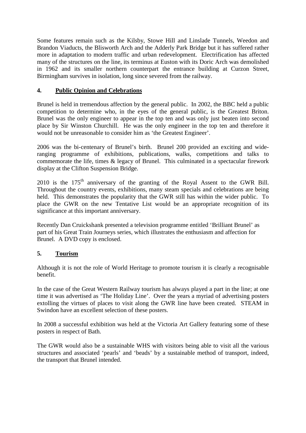Some features remain such as the Kilsby, Stowe Hill and Linslade Tunnels, Weedon and Brandon Viaducts, the Blisworth Arch and the Adderly Park Bridge but it has suffered rather more in adaptation to modern traffic and urban redevelopment. Electrification has affected many of the structures on the line, its terminus at Euston with its Doric Arch was demolished in 1962 and its smaller northern counterpart the entrance building at Curzon Street, Birmingham survives in isolation, long since severed from the railway.

#### **4. Public Opinion and Celebrations**

Brunel is held in tremendous affection by the general public. In 2002, the BBC held a public competition to determine who, in the eyes of the general public, is the Greatest Briton. Brunel was the only engineer to appear in the top ten and was only just beaten into second place by Sir Winston Churchill. He was the only engineer in the top ten and therefore it would not be unreasonable to consider him as 'the Greatest Engineer'.

2006 was the bi-centenary of Brunel's birth. Brunel 200 provided an exciting and wideranging programme of exhibitions, publications, walks, competitions and talks to commemorate the life, times & legacy of Brunel. This culminated in a spectacular firework display at the Clifton Suspension Bridge.

 $2010$  is the  $175<sup>th</sup>$  anniversary of the granting of the Royal Assent to the GWR Bill. Throughout the country events, exhibitions, many steam specials and celebrations are being held. This demonstrates the popularity that the GWR still has within the wider public. To place the GWR on the new Tentative List would be an appropriate recognition of its significance at this important anniversary.

Recently Dan Cruickshank presented a television programme entitled 'Brilliant Brunel' as part of his Great Train Journeys series, which illustrates the enthusiasm and affection for Brunel. A DVD copy is enclosed.

#### **5. Tourism**

Although it is not the role of World Heritage to promote tourism it is clearly a recognisable benefit.

In the case of the Great Western Railway tourism has always played a part in the line; at one time it was advertised as 'The Holiday Line'. Over the years a myriad of advertising posters extolling the virtues of places to visit along the GWR line have been created. STEAM in Swindon have an excellent selection of these posters.

In 2008 a successful exhibition was held at the Victoria Art Gallery featuring some of these posters in respect of Bath.

The GWR would also be a sustainable WHS with visitors being able to visit all the various structures and associated 'pearls' and 'beads' by a sustainable method of transport, indeed, the transport that Brunel intended.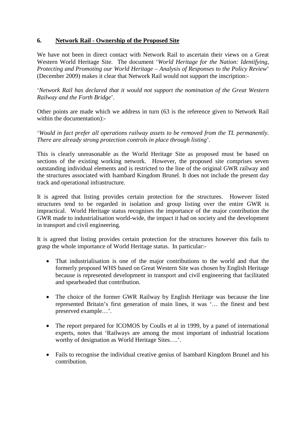#### **6. Network Rail - Ownership of the Proposed Site**

We have not been in direct contact with Network Rail to ascertain their views on a Great Western World Heritage Site. The document '*World Heritage for the Nation: Identifying, Protecting and Promoting our World Heritage – Analysis of Responses to the Policy Review*' (December 2009) makes it clear that Network Rail would not support the inscription:-

'*Network Rail has declared that it would not support the nomination of the Great Western Railway and the Forth Bridge*'.

Other points are made which we address in turn (63 is the reference given to Network Rail within the documentation):-

'*Would in fact prefer all operations railway assets to be removed from the TL permanently. There are already strong protection controls in place through listing*'.

This is clearly unreasonable as the World Heritage Site as proposed must be based on sections of the existing working network. However, the proposed site comprises seven outstanding individual elements and is restricted to the line of the original GWR railway and the structures associated with Isambard Kingdom Brunel. It does not include the present day track and operational infrastructure.

It is agreed that listing provides certain protection for the structures. However listed structures tend to be regarded in isolation and group listing over the entire GWR is impractical. World Heritage status recognises the importance of the major contribution the GWR made to industrialisation world-wide, the impact it had on society and the development in transport and civil engineering.

It is agreed that listing provides certain protection for the structures however this fails to grasp the whole importance of World Heritage status. In particular:-

- That industrialisation is one of the major contributions to the world and that the formerly proposed WHS based on Great Western Site was chosen by English Heritage because is represented development in transport and civil engineering that facilitated and spearheaded that contribution.
- The choice of the former GWR Railway by English Heritage was because the line represented Britain's first generation of main lines, it was '… the finest and best preserved example…'.
- The report prepared for ICOMOS by Coulls et al in 1999, by a panel of international experts, notes that 'Railways are among the most important of industrial locations worthy of designation as World Heritage Sites….'.
- Fails to recognise the individual creative genius of Isambard Kingdom Brunel and his contribution.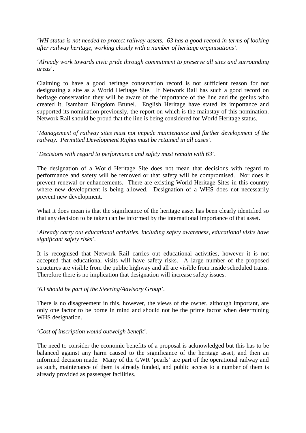'*WH status is not needed to protect railway assets. 63 has a good record in terms of looking after railway heritage, working closely with a number of heritage organisations*'.

'*Already work towards civic pride through commitment to preserve all sites and surrounding areas*'.

Claiming to have a good heritage conservation record is not sufficient reason for not designating a site as a World Heritage Site. If Network Rail has such a good record on heritage conservation they will be aware of the importance of the line and the genius who created it, Isambard Kingdom Brunel. English Heritage have stated its importance and supported its nomination previously, the report on which is the mainstay of this nomination. Network Rail should be proud that the line is being considered for World Heritage status.

'*Management of railway sites must not impede maintenance and further development of the railway. Permitted Development Rights must be retained in all cases*'.

#### '*Decisions with regard to performance and safety must remain with 63*'.

The designation of a World Heritage Site does not mean that decisions with regard to performance and safety will be removed or that safety will be compromised. Nor does it prevent renewal or enhancements. There are existing World Heritage Sites in this country where new development is being allowed. Designation of a WHS does not necessarily prevent new development.

What it does mean is that the significance of the heritage asset has been clearly identified so that any decision to be taken can be informed by the international importance of that asset.

#### '*Already carry out educational activities, including safety awareness, educational visits have significant safety risks*'.

It is recognised that Network Rail carries out educational activities, however it is not accepted that educational visits will have safety risks. A large number of the proposed structures are visible from the public highway and all are visible from inside scheduled trains. Therefore there is no implication that designation will increase safety issues.

#### '*63 should be part of the Steering/Advisory Group*'.

There is no disagreement in this, however, the views of the owner, although important, are only one factor to be borne in mind and should not be the prime factor when determining WHS designation.

#### '*Cost of inscription would outweigh benefit*'.

The need to consider the economic benefits of a proposal is acknowledged but this has to be balanced against any harm caused to the significance of the heritage asset, and then an informed decision made. Many of the GWR 'pearls' are part of the operational railway and as such, maintenance of them is already funded, and public access to a number of them is already provided as passenger facilities.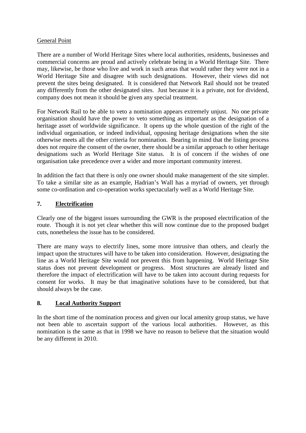#### General Point

There are a number of World Heritage Sites where local authorities, residents, businesses and commercial concerns are proud and actively celebrate being in a World Heritage Site. There may, likewise, be those who live and work in such areas that would rather they were not in a World Heritage Site and disagree with such designations. However, their views did not prevent the sites being designated. It is considered that Network Rail should not be treated any differently from the other designated sites. Just because it is a private, not for dividend, company does not mean it should be given any special treatment.

For Network Rail to be able to veto a nomination appears extremely unjust. No one private organisation should have the power to veto something as important as the designation of a heritage asset of worldwide significance. It opens up the whole question of the right of the individual organisation, or indeed individual, opposing heritage designations when the site otherwise meets all the other criteria for nomination. Bearing in mind that the listing process does not require the consent of the owner, there should be a similar approach to other heritage designations such as World Heritage Site status. It is of concern if the wishes of one organisation take precedence over a wider and more important community interest.

In addition the fact that there is only one owner should make management of the site simpler. To take a similar site as an example, Hadrian's Wall has a myriad of owners, yet through some co-ordination and co-operation works spectacularly well as a World Heritage Site.

#### **7. Electrification**

Clearly one of the biggest issues surrounding the GWR is the proposed electrification of the route. Though it is not yet clear whether this will now continue due to the proposed budget cuts, nonetheless the issue has to be considered.

There are many ways to electrify lines, some more intrusive than others, and clearly the impact upon the structures will have to be taken into consideration. However, designating the line as a World Heritage Site would not prevent this from happening. World Heritage Site status does not prevent development or progress. Most structures are already listed and therefore the impact of electrification will have to be taken into account during requests for consent for works. It may be that imaginative solutions have to be considered, but that should always be the case.

#### **8. Local Authority Support**

In the short time of the nomination process and given our local amenity group status, we have not been able to ascertain support of the various local authorities. However, as this nomination is the same as that in 1998 we have no reason to believe that the situation would be any different in 2010.